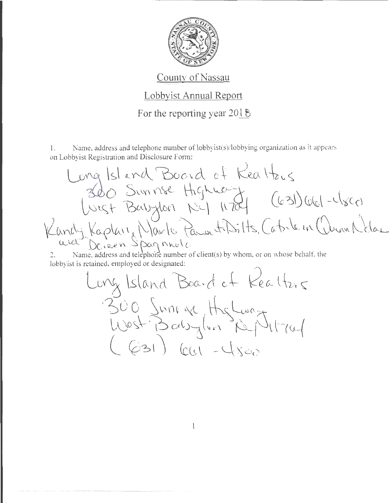

## County of Nassau

## Lobbyist Annual Report

## For the reporting year  $2018$

1. Name, address and telephone number of  $\text{lobbyist}(s)/\text{lobbying organization as it appears}$ on Lobbyist Registration and Disclosure Form:

Long Island Board of Kealtzis  $-\frac{260}{\sqrt{2}}$  Suninse Highway  $\frac{1}{200}$   $(\frac{1}{20})\frac{1}{200}$   $-(\frac{1}{20})$  $m$ dy Kaplan, Navlo Pawetisitts, Catrle in Wunn Notar avet Doieen Spagnnulo

2. Name, address and telephone number of client(s) by whom, or on whose behalf, the lobbyist is retained, employed or designated:

Long Island Board of Kealtzrs 300 Sunia Highway llost 10 als jun 19/4/704<br>(G31) Cc1 -4500

l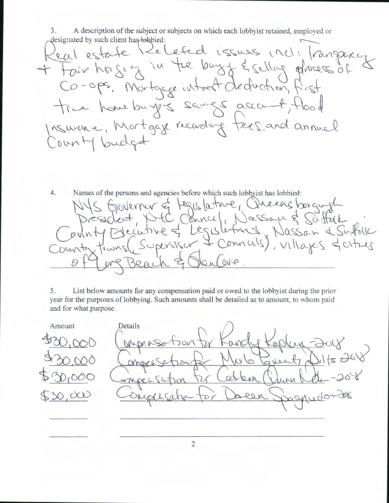3. A description of the subject or subjects on which each lobby ist retained, employed or designated by such client has lobbied:

Real estate Related issues incl: transpacez<br>+ Fair hasi y in the burgy & selling phoeos of Co-ops, Mortgage introet de duction true homebuyers sangs account Insurance, Mortgage recording tees, and annual ounty budget

 $4.$ Names of the persons and agencies before which such lobbyist has lobbied: sovernor of teges lative, Queens borgund EC Connel, Nassau & Scottak Heutive of Legislating, Nassan & Suffolk sperisor & Connais), villages & cities townsl. So  $QQ$ 

 $5.$ List below amounts for any compensation paid or owed to the lobbyist during the prior year for the purposes of lobbying. Such amounts shall be detailed as to amount, to whom paid and for what purpose.

Amount Details  $04K$ <u>tok</u> veents d  $dV$ act leen \*Mpec56 NN )  $\alpha$ 

 $\overline{2}$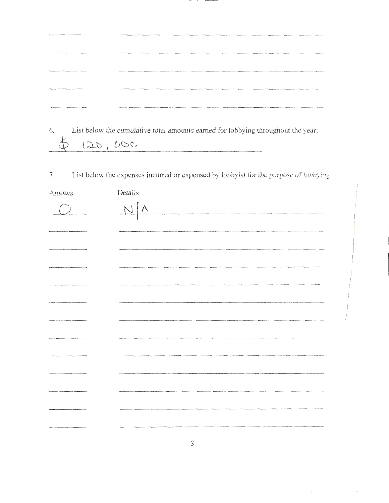| The responsibility of the following development of a considered specifical construction and the property of        |                                                                                                                                                                                                                               |
|--------------------------------------------------------------------------------------------------------------------|-------------------------------------------------------------------------------------------------------------------------------------------------------------------------------------------------------------------------------|
|                                                                                                                    |                                                                                                                                                                                                                               |
| APARAMAN AN AN INFORMATION CONSULTATION CONTINUES IN A WARRANT COMMUNIST                                           | The Company of the Company of the Company of the Company of the Company of the Company of the Company of the Company of the Company of the Company of the Company of the Company of the Company of the Company of the Company |
| The fight of generalization in the control of the fight final defined and a second in the transporter of the fight |                                                                                                                                                                                                                               |
|                                                                                                                    |                                                                                                                                                                                                                               |

6. List below the cumulative total amounts earned for lobbying throughout the year:  $$ 120,000$ 

7. List below the expenses incurred or expensed by lobbyist for the purpose of lobbying:

| Amount | Details                                                                                                             |
|--------|---------------------------------------------------------------------------------------------------------------------|
|        | N/A                                                                                                                 |
|        |                                                                                                                     |
|        |                                                                                                                     |
|        | .<br>International companies with the text of the sense and a construction of<br>------------------                 |
|        |                                                                                                                     |
|        |                                                                                                                     |
|        |                                                                                                                     |
|        |                                                                                                                     |
|        |                                                                                                                     |
|        |                                                                                                                     |
|        | .<br>Additionalists vanamentalisticische Petrikolohisticische Petrikolohisticische Afrikalistici Vermingel i Egelän |
|        |                                                                                                                     |
|        |                                                                                                                     |